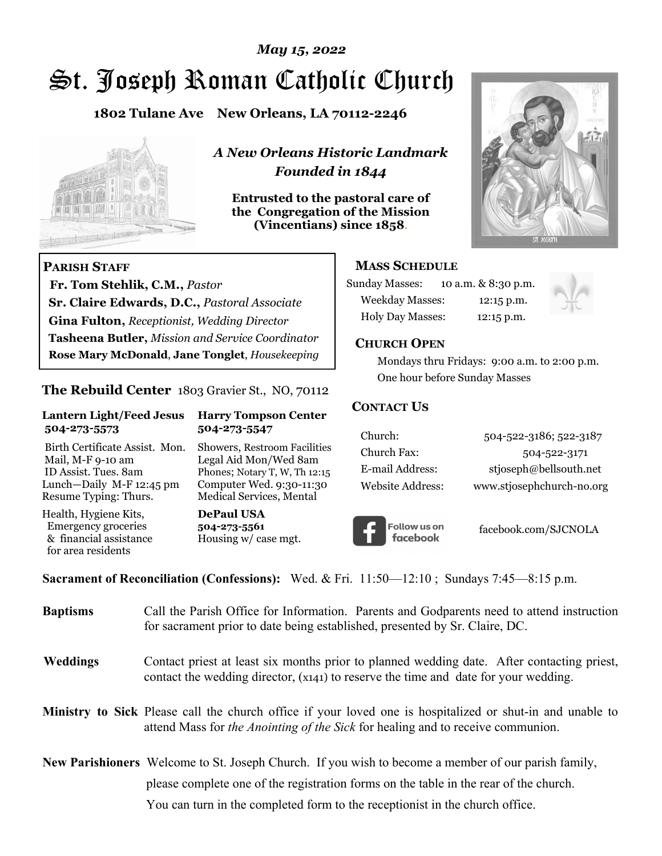# *May 15, 2022*

# St. Joseph Roman Catholic Church

**1802 Tulane Ave New Orleans, LA 70112-2246**



 **Fr. Tom Stehlik, C.M.,** *Pastor* 

**Sr. Claire Edwards, D.C.,** *Pastoral Associate* **Gina Fulton,** *Receptionist, Wedding Director* 

**Tasheena Butler,** *Mission and Service Coordinator* **Rose Mary McDonald**, **Jane Tonglet**, *Housekeeping*

**The Rebuild Center** 1803 Gravier St., NO, 70112

**Lantern Light/Feed Jesus Harry Tompson Center** 

Birth Certificate Assist. Mon. Showers, Restroom Facilities Mail, M-F 9-10 am Legal Aid Mon/Wed 8am ID Assist. Tues. 8am Phones; Notary T, W, Th 12:15 Lunch—Daily M-F 12:45 pm Computer Wed. 9:30-11:30 Resume Typing: Thurs. Medical Services, Mental

 **504-273-5573 504-273-5547** 

Health, Hygiene Kits, **DePaul USA**  Emergency groceries **504-273-5561** & financial assistance Housing w/ case mgt.

**PARISH STAFF**

for area residents

*A New Orleans Historic Landmark Founded in 1844* 

**Entrusted to the pastoral care of the Congregation of the Mission (Vincentians) since 1858**.



## **MASS SCHEDULE**

| <b>Sunday Masses:</b>  | 10 a.m. & 8:30 p.m. |
|------------------------|---------------------|
| <b>Weekday Masses:</b> | $12:15$ p.m.        |
| Holy Day Masses:       | 12:15 p.m.          |



### **CHURCH OPEN**

 Mondays thru Fridays: 9:00 a.m. to 2:00 p.m. One hour before Sunday Masses

### **CONTACT US**

| Church:          | 504-522-3186; 522-3187    |
|------------------|---------------------------|
| Church Fax:      | 504-522-3171              |
| E-mail Address:  | stjoseph@bellsouth.net    |
| Website Address: | www.stjosephchurch-no.org |



facebook.com/SJCNOLA

**Sacrament of Reconciliation (Confessions):** Wed. & Fri. 11:50—12:10 ; Sundays 7:45—8:15 p.m.

| <b>Baptisms</b> | Call the Parish Office for Information. Parents and Godparents need to attend instruction<br>for sacrament prior to date being established, presented by Sr. Claire, DC.                            |  |
|-----------------|-----------------------------------------------------------------------------------------------------------------------------------------------------------------------------------------------------|--|
| <b>Weddings</b> | Contact priest at least six months prior to planned wedding date. After contacting priest,<br>contact the wedding director, (x141) to reserve the time and date for your wedding.                   |  |
|                 | Ministry to Sick Please call the church office if your loved one is hospitalized or shut-in and unable to<br>attend Mass for <i>the Anointing of the Sick</i> for healing and to receive communion. |  |
|                 | <b>New Parishioners</b> Welcome to St. Joseph Church. If you wish to become a member of our parish family,                                                                                          |  |
|                 | please complete one of the registration forms on the table in the rear of the church.                                                                                                               |  |
|                 | You can turn in the completed form to the reception ist in the church office.                                                                                                                       |  |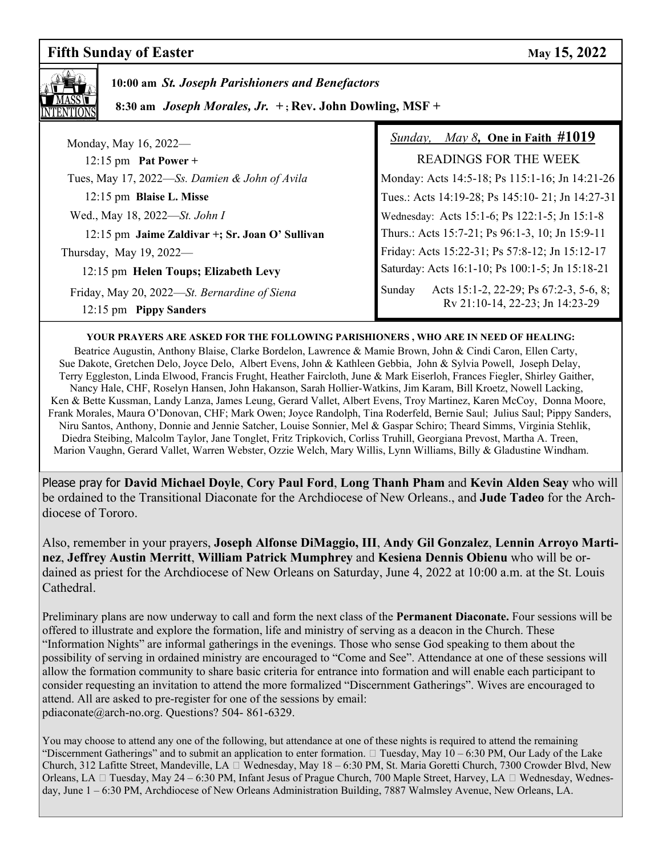# **Fifth Sunday of Easter** May 15, 2022



 **10:00 am** *St. Joseph Parishioners and Benefactors*

 **8:30 am** *Joseph Morales, Jr. +* **; Rev. John Dowling, MSF +** 

| Monday, May 16, 2022—                                                  | <i>Sunday, May 8, One in Faith <math>\#1019</math></i>                              |
|------------------------------------------------------------------------|-------------------------------------------------------------------------------------|
| 12:15 pm Pat Power +                                                   | <b>READINGS FOR THE WEEK</b>                                                        |
| Tues, May 17, 2022—Ss. Damien & John of Avila                          | Monday: Acts 14:5-18; Ps 115:1-16; Jn 14:21-26                                      |
| 12:15 pm Blaise L. Misse                                               | Tues.: Acts 14:19-28; Ps 145:10-21; Jn 14:27-31                                     |
| Wed., May 18, 2022—St. John I                                          | Wednesday: Acts 15:1-6; Ps 122:1-5; Jn 15:1-8                                       |
| 12:15 pm Jaime Zaldivar +; Sr. Joan O' Sullivan                        | Thurs.: Acts 15:7-21; Ps 96:1-3, 10; Jn 15:9-11                                     |
| Thursday, May 19, 2022-                                                | Friday: Acts 15:22-31; Ps 57:8-12; Jn 15:12-17                                      |
| 12:15 pm Helen Toups; Elizabeth Levy                                   | Saturday: Acts 16:1-10; Ps 100:1-5; Jn 15:18-21                                     |
| Friday, May 20, 2022—St. Bernardine of Siena<br>12:15 pm Pippy Sanders | Acts 15:1-2, 22-29; Ps 67:2-3, 5-6, 8;<br>Sunday<br>Rv 21:10-14, 22-23; Jn 14:23-29 |

#### **YOUR PRAYERS ARE ASKED FOR THE FOLLOWING PARISHIONERS , WHO ARE IN NEED OF HEALING:**

 Beatrice Augustin, Anthony Blaise, Clarke Bordelon, Lawrence & Mamie Brown, John & Cindi Caron, Ellen Carty, Sue Dakote, Gretchen Delo, Joyce Delo, Albert Evens, John & Kathleen Gebbia, John & Sylvia Powell, Joseph Delay, Terry Eggleston, Linda Elwood, Francis Frught, Heather Faircloth, June & Mark Eiserloh, Frances Fiegler, Shirley Gaither, Nancy Hale, CHF, Roselyn Hansen, John Hakanson, Sarah Hollier-Watkins, Jim Karam, Bill Kroetz, Nowell Lacking, Ken & Bette Kussman, Landy Lanza, James Leung, Gerard Vallet, Albert Evens, Troy Martinez, Karen McCoy, Donna Moore, Frank Morales, Maura O'Donovan, CHF; Mark Owen; Joyce Randolph, Tina Roderfeld, Bernie Saul; Julius Saul; Pippy Sanders, Niru Santos, Anthony, Donnie and Jennie Satcher, Louise Sonnier, Mel & Gaspar Schiro; Theard Simms, Virginia Stehlik, Diedra Steibing, Malcolm Taylor, Jane Tonglet, Fritz Tripkovich, Corliss Truhill, Georgiana Prevost, Martha A. Treen, Marion Vaughn, Gerard Vallet, Warren Webster, Ozzie Welch, Mary Willis, Lynn Williams, Billy & Gladustine Windham.

Please pray for **David Michael Doyle**, **Cory Paul Ford**, **Long Thanh Pham** and **Kevin Alden Seay** who will be ordained to the Transitional Diaconate for the Archdiocese of New Orleans., and **Jude Tadeo** for the Archdiocese of Tororo.

Also, remember in your prayers, **Joseph Alfonse DiMaggio, III**, **Andy Gil Gonzalez**, **Lennin Arroyo Martinez**, **Jeffrey Austin Merritt**, **William Patrick Mumphrey** and **Kesiena Dennis Obienu** who will be ordained as priest for the Archdiocese of New Orleans on Saturday, June 4, 2022 at 10:00 a.m. at the St. Louis Cathedral.

Preliminary plans are now underway to call and form the next class of the **Permanent Diaconate.** Four sessions will be offered to illustrate and explore the formation, life and ministry of serving as a deacon in the Church. These "Information Nights" are informal gatherings in the evenings. Those who sense God speaking to them about the possibility of serving in ordained ministry are encouraged to "Come and See". Attendance at one of these sessions will allow the formation community to share basic criteria for entrance into formation and will enable each participant to consider requesting an invitation to attend the more formalized "Discernment Gatherings". Wives are encouraged to attend. All are asked to pre-register for one of the sessions by email: pdiaconate@arch-no.org. Questions? 504- 861-6329.

You may choose to attend any one of the following, but attendance at one of these nights is required to attend the remaining "Discernment Gatherings" and to submit an application to enter formation.  $\Box$  Tuesday, May 10 – 6:30 PM, Our Lady of the Lake Church, 312 Lafitte Street, Mandeville, LA Wednesday, May 18 – 6:30 PM, St. Maria Goretti Church, 7300 Crowder Blvd, New Orleans, LA  $\Box$  Tuesday, May 24 – 6:30 PM, Infant Jesus of Prague Church, 700 Maple Street, Harvey, LA  $\Box$  Wednesday, Wednesday, June 1 – 6:30 PM, Archdiocese of New Orleans Administration Building, 7887 Walmsley Avenue, New Orleans, LA.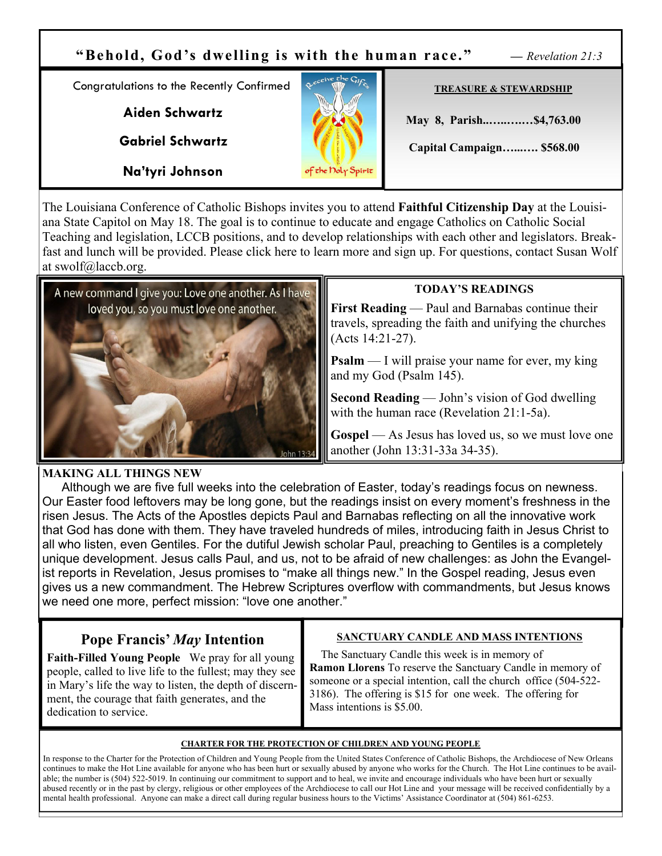

The Louisiana Conference of Catholic Bishops invites you to attend **Faithful Citizenship Day** at the Louisiana State Capitol on May 18. The goal is to continue to educate and engage Catholics on Catholic Social Teaching and legislation, LCCB positions, and to develop relationships with each other and legislators. Breakfast and lunch will be provided. Please click here to learn more and sign up. For questions, contact Susan Wolf at swolf@laccb.org.



## **TODAY'S READINGS**

**First Reading** — Paul and Barnabas continue their travels, spreading the faith and unifying the churches (Acts 14:21-27).

**Psalm** — I will praise your name for ever, my king and my God (Psalm 145).

**Second Reading** — John's vision of God dwelling with the human race (Revelation 21:1-5a).

**Gospel** — As Jesus has loved us, so we must love one another (John 13:31-33a 34-35).

## **MAKING ALL THINGS NEW**

Although we are five full weeks into the celebration of Easter, today's readings focus on newness. Our Easter food leftovers may be long gone, but the readings insist on every moment's freshness in the risen Jesus. The Acts of the Apostles depicts Paul and Barnabas reflecting on all the innovative work that God has done with them. They have traveled hundreds of miles, introducing faith in Jesus Christ to all who listen, even Gentiles. For the dutiful Jewish scholar Paul, preaching to Gentiles is a completely unique development. Jesus calls Paul, and us, not to be afraid of new challenges: as John the Evangelist reports in Revelation, Jesus promises to "make all things new." In the Gospel reading, Jesus even gives us a new commandment. The Hebrew Scriptures overflow with commandments, but Jesus knows we need one more, perfect mission: "love one another."

# **Pope Francis'** *May* **Intention**

**Faith-Filled Young People** We pray for all young people, called to live life to the fullest; may they see in Mary's life the way to listen, the depth of discernment, the courage that faith generates, and the dedication to service.

## **SANCTUARY CANDLE AND MASS INTENTIONS**

 The Sanctuary Candle this week is in memory of **Ramon Llorens** To reserve the Sanctuary Candle in memory of someone or a special intention, call the church office (504-522- 3186). The offering is \$15 for one week. The offering for Mass intentions is \$5.00.

### **CHARTER FOR THE PROTECTION OF CHILDREN AND YOUNG PEOPLE**

In response to the Charter for the Protection of Children and Young People from the United States Conference of Catholic Bishops, the Archdiocese of New Orleans continues to make the Hot Line available for anyone who has been hurt or sexually abused by anyone who works for the Church. The Hot Line continues to be available; the number is (504) 522-5019. In continuing our commitment to support and to heal, we invite and encourage individuals who have been hurt or sexually abused recently or in the past by clergy, religious or other employees of the Archdiocese to call our Hot Line and your message will be received confidentially by a mental health professional. Anyone can make a direct call during regular business hours to the Victims' Assistance Coordinator at (504) 861-6253.